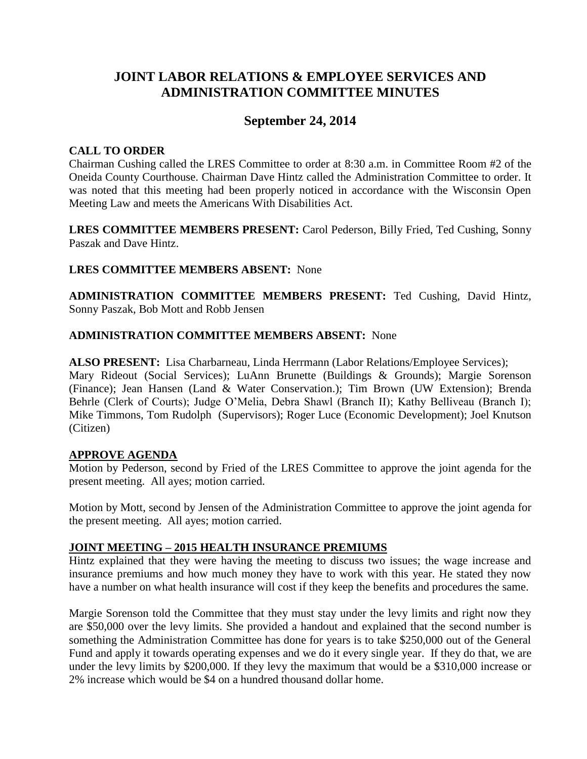# **JOINT LABOR RELATIONS & EMPLOYEE SERVICES AND ADMINISTRATION COMMITTEE MINUTES**

# **September 24, 2014**

### **CALL TO ORDER**

Chairman Cushing called the LRES Committee to order at 8:30 a.m. in Committee Room #2 of the Oneida County Courthouse. Chairman Dave Hintz called the Administration Committee to order. It was noted that this meeting had been properly noticed in accordance with the Wisconsin Open Meeting Law and meets the Americans With Disabilities Act.

**LRES COMMITTEE MEMBERS PRESENT:** Carol Pederson, Billy Fried, Ted Cushing, Sonny Paszak and Dave Hintz.

### **LRES COMMITTEE MEMBERS ABSENT:** None

**ADMINISTRATION COMMITTEE MEMBERS PRESENT:** Ted Cushing, David Hintz, Sonny Paszak, Bob Mott and Robb Jensen

### **ADMINISTRATION COMMITTEE MEMBERS ABSENT:** None

**ALSO PRESENT:** Lisa Charbarneau, Linda Herrmann (Labor Relations/Employee Services); Mary Rideout (Social Services); LuAnn Brunette (Buildings & Grounds); Margie Sorenson (Finance); Jean Hansen (Land & Water Conservation.); Tim Brown (UW Extension); Brenda Behrle (Clerk of Courts); Judge O'Melia, Debra Shawl (Branch II); Kathy Belliveau (Branch I); Mike Timmons, Tom Rudolph (Supervisors); Roger Luce (Economic Development); Joel Knutson (Citizen)

### **APPROVE AGENDA**

Motion by Pederson, second by Fried of the LRES Committee to approve the joint agenda for the present meeting. All ayes; motion carried.

Motion by Mott, second by Jensen of the Administration Committee to approve the joint agenda for the present meeting. All ayes; motion carried.

### **JOINT MEETING – 2015 HEALTH INSURANCE PREMIUMS**

Hintz explained that they were having the meeting to discuss two issues; the wage increase and insurance premiums and how much money they have to work with this year. He stated they now have a number on what health insurance will cost if they keep the benefits and procedures the same.

Margie Sorenson told the Committee that they must stay under the levy limits and right now they are \$50,000 over the levy limits. She provided a handout and explained that the second number is something the Administration Committee has done for years is to take \$250,000 out of the General Fund and apply it towards operating expenses and we do it every single year. If they do that, we are under the levy limits by \$200,000. If they levy the maximum that would be a \$310,000 increase or 2% increase which would be \$4 on a hundred thousand dollar home.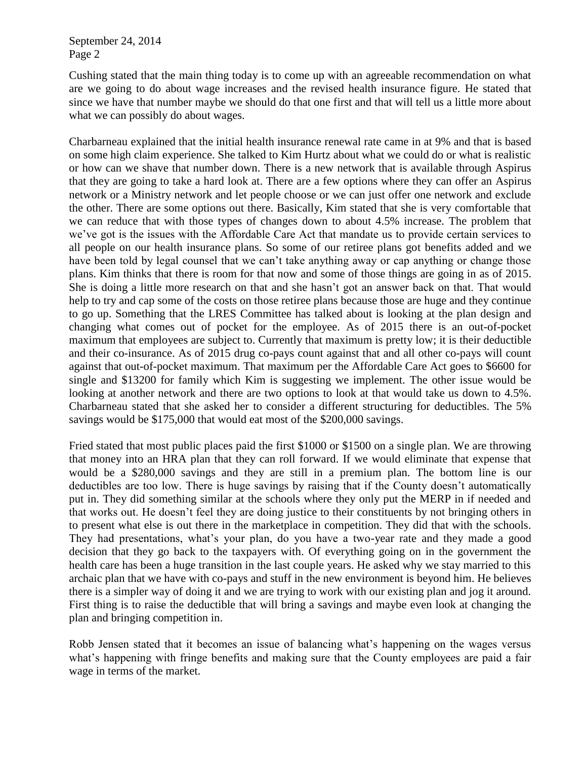Cushing stated that the main thing today is to come up with an agreeable recommendation on what are we going to do about wage increases and the revised health insurance figure. He stated that since we have that number maybe we should do that one first and that will tell us a little more about what we can possibly do about wages.

Charbarneau explained that the initial health insurance renewal rate came in at 9% and that is based on some high claim experience. She talked to Kim Hurtz about what we could do or what is realistic or how can we shave that number down. There is a new network that is available through Aspirus that they are going to take a hard look at. There are a few options where they can offer an Aspirus network or a Ministry network and let people choose or we can just offer one network and exclude the other. There are some options out there. Basically, Kim stated that she is very comfortable that we can reduce that with those types of changes down to about 4.5% increase. The problem that we've got is the issues with the Affordable Care Act that mandate us to provide certain services to all people on our health insurance plans. So some of our retiree plans got benefits added and we have been told by legal counsel that we can't take anything away or cap anything or change those plans. Kim thinks that there is room for that now and some of those things are going in as of 2015. She is doing a little more research on that and she hasn't got an answer back on that. That would help to try and cap some of the costs on those retiree plans because those are huge and they continue to go up. Something that the LRES Committee has talked about is looking at the plan design and changing what comes out of pocket for the employee. As of 2015 there is an out-of-pocket maximum that employees are subject to. Currently that maximum is pretty low; it is their deductible and their co-insurance. As of 2015 drug co-pays count against that and all other co-pays will count against that out-of-pocket maximum. That maximum per the Affordable Care Act goes to \$6600 for single and \$13200 for family which Kim is suggesting we implement. The other issue would be looking at another network and there are two options to look at that would take us down to 4.5%. Charbarneau stated that she asked her to consider a different structuring for deductibles. The 5% savings would be \$175,000 that would eat most of the \$200,000 savings.

Fried stated that most public places paid the first \$1000 or \$1500 on a single plan. We are throwing that money into an HRA plan that they can roll forward. If we would eliminate that expense that would be a \$280,000 savings and they are still in a premium plan. The bottom line is our deductibles are too low. There is huge savings by raising that if the County doesn't automatically put in. They did something similar at the schools where they only put the MERP in if needed and that works out. He doesn't feel they are doing justice to their constituents by not bringing others in to present what else is out there in the marketplace in competition. They did that with the schools. They had presentations, what's your plan, do you have a two-year rate and they made a good decision that they go back to the taxpayers with. Of everything going on in the government the health care has been a huge transition in the last couple years. He asked why we stay married to this archaic plan that we have with co-pays and stuff in the new environment is beyond him. He believes there is a simpler way of doing it and we are trying to work with our existing plan and jog it around. First thing is to raise the deductible that will bring a savings and maybe even look at changing the plan and bringing competition in.

Robb Jensen stated that it becomes an issue of balancing what's happening on the wages versus what's happening with fringe benefits and making sure that the County employees are paid a fair wage in terms of the market.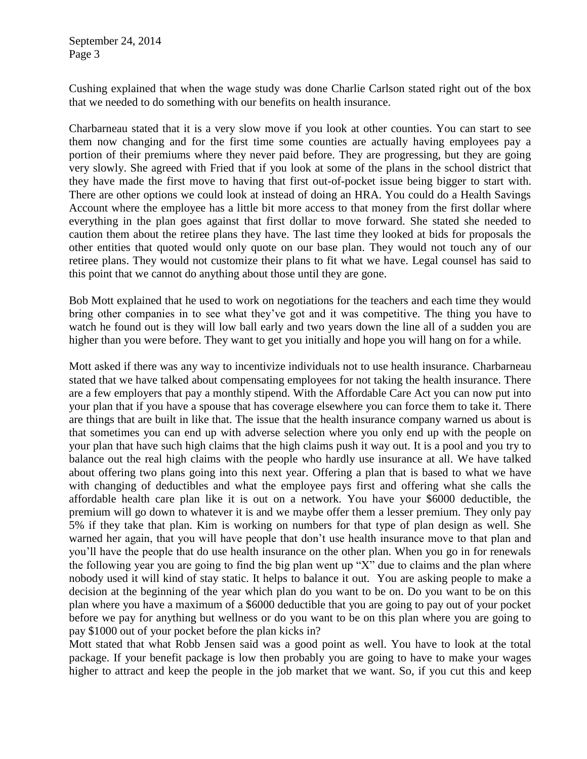Cushing explained that when the wage study was done Charlie Carlson stated right out of the box that we needed to do something with our benefits on health insurance.

Charbarneau stated that it is a very slow move if you look at other counties. You can start to see them now changing and for the first time some counties are actually having employees pay a portion of their premiums where they never paid before. They are progressing, but they are going very slowly. She agreed with Fried that if you look at some of the plans in the school district that they have made the first move to having that first out-of-pocket issue being bigger to start with. There are other options we could look at instead of doing an HRA. You could do a Health Savings Account where the employee has a little bit more access to that money from the first dollar where everything in the plan goes against that first dollar to move forward. She stated she needed to caution them about the retiree plans they have. The last time they looked at bids for proposals the other entities that quoted would only quote on our base plan. They would not touch any of our retiree plans. They would not customize their plans to fit what we have. Legal counsel has said to this point that we cannot do anything about those until they are gone.

Bob Mott explained that he used to work on negotiations for the teachers and each time they would bring other companies in to see what they've got and it was competitive. The thing you have to watch he found out is they will low ball early and two years down the line all of a sudden you are higher than you were before. They want to get you initially and hope you will hang on for a while.

Mott asked if there was any way to incentivize individuals not to use health insurance. Charbarneau stated that we have talked about compensating employees for not taking the health insurance. There are a few employers that pay a monthly stipend. With the Affordable Care Act you can now put into your plan that if you have a spouse that has coverage elsewhere you can force them to take it. There are things that are built in like that. The issue that the health insurance company warned us about is that sometimes you can end up with adverse selection where you only end up with the people on your plan that have such high claims that the high claims push it way out. It is a pool and you try to balance out the real high claims with the people who hardly use insurance at all. We have talked about offering two plans going into this next year. Offering a plan that is based to what we have with changing of deductibles and what the employee pays first and offering what she calls the affordable health care plan like it is out on a network. You have your \$6000 deductible, the premium will go down to whatever it is and we maybe offer them a lesser premium. They only pay 5% if they take that plan. Kim is working on numbers for that type of plan design as well. She warned her again, that you will have people that don't use health insurance move to that plan and you'll have the people that do use health insurance on the other plan. When you go in for renewals the following year you are going to find the big plan went up "X" due to claims and the plan where nobody used it will kind of stay static. It helps to balance it out. You are asking people to make a decision at the beginning of the year which plan do you want to be on. Do you want to be on this plan where you have a maximum of a \$6000 deductible that you are going to pay out of your pocket before we pay for anything but wellness or do you want to be on this plan where you are going to pay \$1000 out of your pocket before the plan kicks in?

Mott stated that what Robb Jensen said was a good point as well. You have to look at the total package. If your benefit package is low then probably you are going to have to make your wages higher to attract and keep the people in the job market that we want. So, if you cut this and keep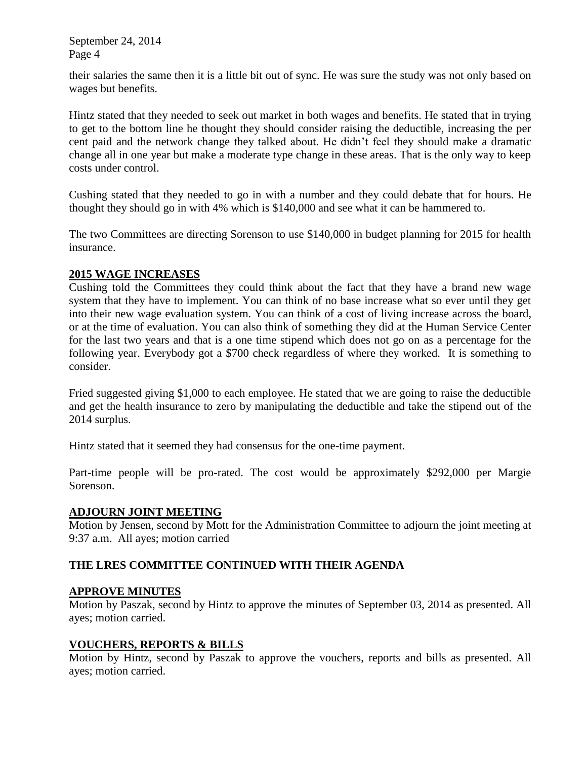their salaries the same then it is a little bit out of sync. He was sure the study was not only based on wages but benefits.

Hintz stated that they needed to seek out market in both wages and benefits. He stated that in trying to get to the bottom line he thought they should consider raising the deductible, increasing the per cent paid and the network change they talked about. He didn't feel they should make a dramatic change all in one year but make a moderate type change in these areas. That is the only way to keep costs under control.

Cushing stated that they needed to go in with a number and they could debate that for hours. He thought they should go in with 4% which is \$140,000 and see what it can be hammered to.

The two Committees are directing Sorenson to use \$140,000 in budget planning for 2015 for health insurance.

### **2015 WAGE INCREASES**

Cushing told the Committees they could think about the fact that they have a brand new wage system that they have to implement. You can think of no base increase what so ever until they get into their new wage evaluation system. You can think of a cost of living increase across the board, or at the time of evaluation. You can also think of something they did at the Human Service Center for the last two years and that is a one time stipend which does not go on as a percentage for the following year. Everybody got a \$700 check regardless of where they worked. It is something to consider.

Fried suggested giving \$1,000 to each employee. He stated that we are going to raise the deductible and get the health insurance to zero by manipulating the deductible and take the stipend out of the 2014 surplus.

Hintz stated that it seemed they had consensus for the one-time payment.

Part-time people will be pro-rated. The cost would be approximately \$292,000 per Margie Sorenson.

### **ADJOURN JOINT MEETING**

Motion by Jensen, second by Mott for the Administration Committee to adjourn the joint meeting at 9:37 a.m. All ayes; motion carried

## **THE LRES COMMITTEE CONTINUED WITH THEIR AGENDA**

### **APPROVE MINUTES**

Motion by Paszak, second by Hintz to approve the minutes of September 03, 2014 as presented. All ayes; motion carried.

### **VOUCHERS, REPORTS & BILLS**

Motion by Hintz, second by Paszak to approve the vouchers, reports and bills as presented. All ayes; motion carried.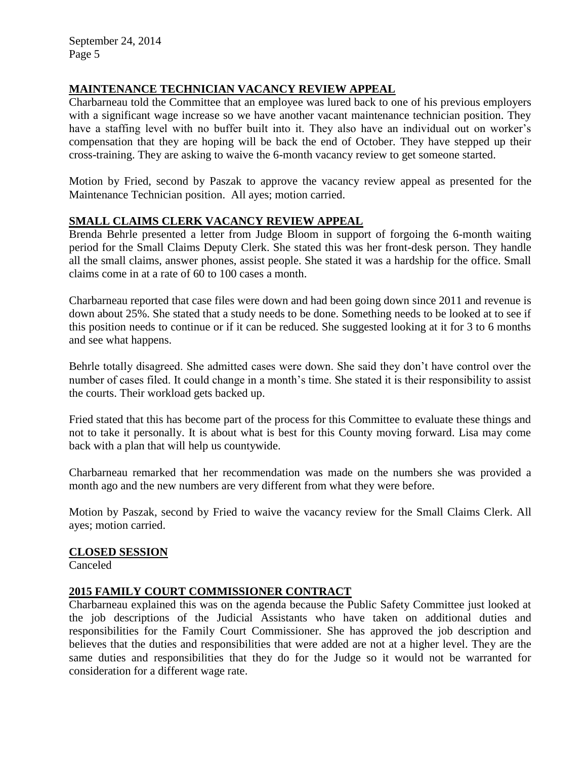# **MAINTENANCE TECHNICIAN VACANCY REVIEW APPEAL**

Charbarneau told the Committee that an employee was lured back to one of his previous employers with a significant wage increase so we have another vacant maintenance technician position. They have a staffing level with no buffer built into it. They also have an individual out on worker's compensation that they are hoping will be back the end of October. They have stepped up their cross-training. They are asking to waive the 6-month vacancy review to get someone started.

Motion by Fried, second by Paszak to approve the vacancy review appeal as presented for the Maintenance Technician position. All ayes; motion carried.

## **SMALL CLAIMS CLERK VACANCY REVIEW APPEAL**

Brenda Behrle presented a letter from Judge Bloom in support of forgoing the 6-month waiting period for the Small Claims Deputy Clerk. She stated this was her front-desk person. They handle all the small claims, answer phones, assist people. She stated it was a hardship for the office. Small claims come in at a rate of 60 to 100 cases a month.

Charbarneau reported that case files were down and had been going down since 2011 and revenue is down about 25%. She stated that a study needs to be done. Something needs to be looked at to see if this position needs to continue or if it can be reduced. She suggested looking at it for 3 to 6 months and see what happens.

Behrle totally disagreed. She admitted cases were down. She said they don't have control over the number of cases filed. It could change in a month's time. She stated it is their responsibility to assist the courts. Their workload gets backed up.

Fried stated that this has become part of the process for this Committee to evaluate these things and not to take it personally. It is about what is best for this County moving forward. Lisa may come back with a plan that will help us countywide.

Charbarneau remarked that her recommendation was made on the numbers she was provided a month ago and the new numbers are very different from what they were before.

Motion by Paszak, second by Fried to waive the vacancy review for the Small Claims Clerk. All ayes; motion carried.

### **CLOSED SESSION**

Canceled

## **2015 FAMILY COURT COMMISSIONER CONTRACT**

Charbarneau explained this was on the agenda because the Public Safety Committee just looked at the job descriptions of the Judicial Assistants who have taken on additional duties and responsibilities for the Family Court Commissioner. She has approved the job description and believes that the duties and responsibilities that were added are not at a higher level. They are the same duties and responsibilities that they do for the Judge so it would not be warranted for consideration for a different wage rate.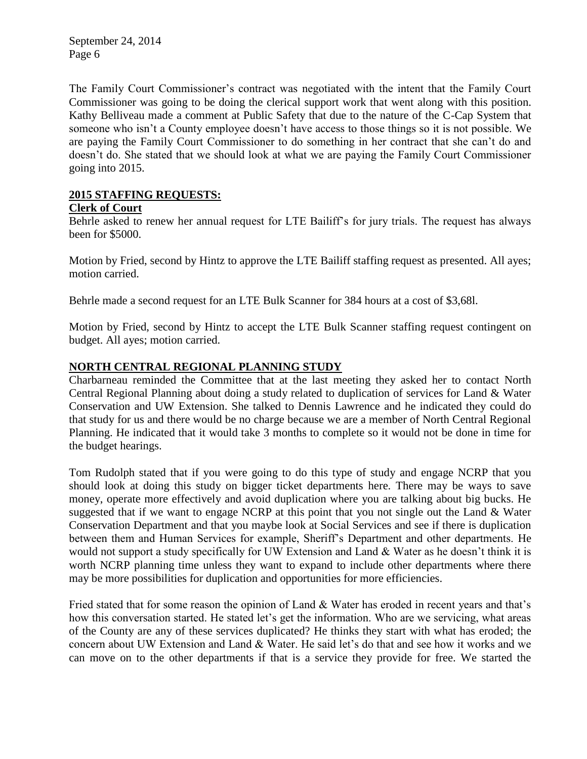The Family Court Commissioner's contract was negotiated with the intent that the Family Court Commissioner was going to be doing the clerical support work that went along with this position. Kathy Belliveau made a comment at Public Safety that due to the nature of the C-Cap System that someone who isn't a County employee doesn't have access to those things so it is not possible. We are paying the Family Court Commissioner to do something in her contract that she can't do and doesn't do. She stated that we should look at what we are paying the Family Court Commissioner going into 2015.

### **2015 STAFFING REQUESTS:**

### **Clerk of Court**

Behrle asked to renew her annual request for LTE Bailiff's for jury trials. The request has always been for \$5000.

Motion by Fried, second by Hintz to approve the LTE Bailiff staffing request as presented. All ayes; motion carried.

Behrle made a second request for an LTE Bulk Scanner for 384 hours at a cost of \$3,68l.

Motion by Fried, second by Hintz to accept the LTE Bulk Scanner staffing request contingent on budget. All ayes; motion carried.

### **NORTH CENTRAL REGIONAL PLANNING STUDY**

Charbarneau reminded the Committee that at the last meeting they asked her to contact North Central Regional Planning about doing a study related to duplication of services for Land & Water Conservation and UW Extension. She talked to Dennis Lawrence and he indicated they could do that study for us and there would be no charge because we are a member of North Central Regional Planning. He indicated that it would take 3 months to complete so it would not be done in time for the budget hearings.

Tom Rudolph stated that if you were going to do this type of study and engage NCRP that you should look at doing this study on bigger ticket departments here. There may be ways to save money, operate more effectively and avoid duplication where you are talking about big bucks. He suggested that if we want to engage NCRP at this point that you not single out the Land & Water Conservation Department and that you maybe look at Social Services and see if there is duplication between them and Human Services for example, Sheriff's Department and other departments. He would not support a study specifically for UW Extension and Land & Water as he doesn't think it is worth NCRP planning time unless they want to expand to include other departments where there may be more possibilities for duplication and opportunities for more efficiencies.

Fried stated that for some reason the opinion of Land & Water has eroded in recent years and that's how this conversation started. He stated let's get the information. Who are we servicing, what areas of the County are any of these services duplicated? He thinks they start with what has eroded; the concern about UW Extension and Land & Water. He said let's do that and see how it works and we can move on to the other departments if that is a service they provide for free. We started the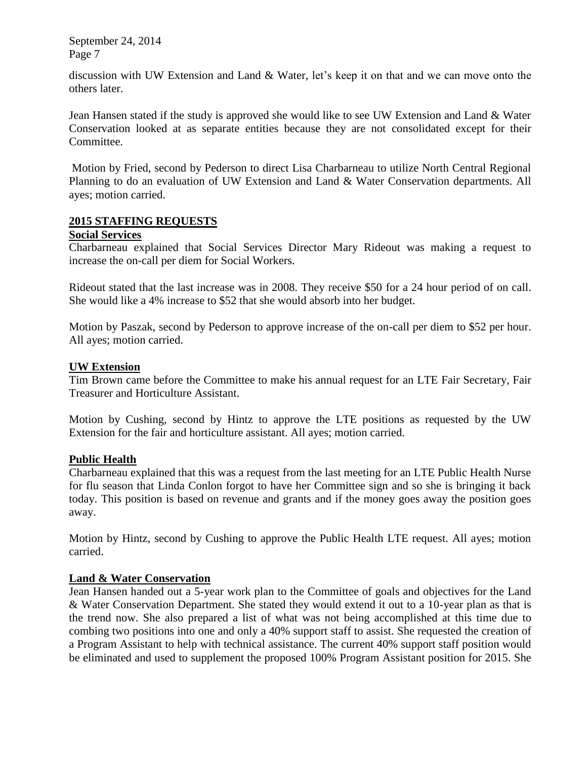discussion with UW Extension and Land & Water, let's keep it on that and we can move onto the others later.

Jean Hansen stated if the study is approved she would like to see UW Extension and Land & Water Conservation looked at as separate entities because they are not consolidated except for their Committee.

Motion by Fried, second by Pederson to direct Lisa Charbarneau to utilize North Central Regional Planning to do an evaluation of UW Extension and Land & Water Conservation departments. All ayes; motion carried.

### **2015 STAFFING REQUESTS**

#### **Social Services**

Charbarneau explained that Social Services Director Mary Rideout was making a request to increase the on-call per diem for Social Workers.

Rideout stated that the last increase was in 2008. They receive \$50 for a 24 hour period of on call. She would like a 4% increase to \$52 that she would absorb into her budget.

Motion by Paszak, second by Pederson to approve increase of the on-call per diem to \$52 per hour. All ayes; motion carried.

#### **UW Extension**

Tim Brown came before the Committee to make his annual request for an LTE Fair Secretary, Fair Treasurer and Horticulture Assistant.

Motion by Cushing, second by Hintz to approve the LTE positions as requested by the UW Extension for the fair and horticulture assistant. All ayes; motion carried.

### **Public Health**

Charbarneau explained that this was a request from the last meeting for an LTE Public Health Nurse for flu season that Linda Conlon forgot to have her Committee sign and so she is bringing it back today. This position is based on revenue and grants and if the money goes away the position goes away.

Motion by Hintz, second by Cushing to approve the Public Health LTE request. All ayes; motion carried.

### **Land & Water Conservation**

Jean Hansen handed out a 5-year work plan to the Committee of goals and objectives for the Land & Water Conservation Department. She stated they would extend it out to a 10-year plan as that is the trend now. She also prepared a list of what was not being accomplished at this time due to combing two positions into one and only a 40% support staff to assist. She requested the creation of a Program Assistant to help with technical assistance. The current 40% support staff position would be eliminated and used to supplement the proposed 100% Program Assistant position for 2015. She